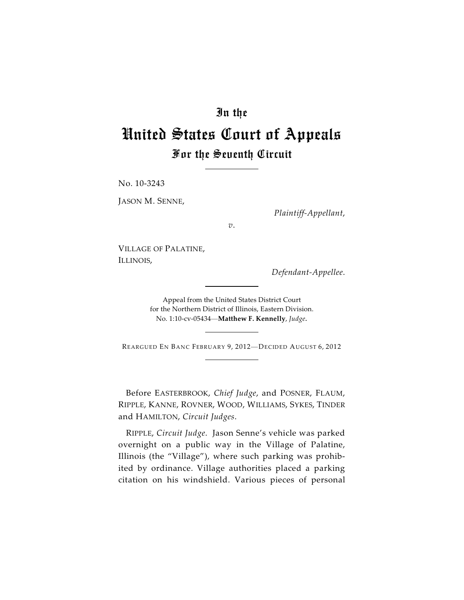# In the

# United States Court of Appeals For the Seventh Circuit

No. 10-3243

JASON M. SENNE,

*Plaintiff-Appellant*,

*v*.

VILLAGE OF PALATINE, ILLINOIS,

*Defendant-Appellee*.

Appeal from the United States District Court for the Northern District of Illinois, Eastern Division. No. 1:10-cv-05434—**Matthew F. Kennelly**, *Judge*.

REARGUED EN BANC FEBRUARY 9, 2012-DECIDED AUGUST 6, 2012

Before EASTERBROOK, *Chief Judge*, and POSNER, FLAUM, RIPPLE, KANNE, ROVNER, WOOD, WILLIAMS, SYKES, TINDER and HAMILTON, *Circuit Judges*.

RIPPLE, *Circuit Judge*. Jason Senne's vehicle was parked overnight on a public way in the Village of Palatine, Illinois (the "Village"), where such parking was prohibited by ordinance. Village authorities placed a parking citation on his windshield. Various pieces of personal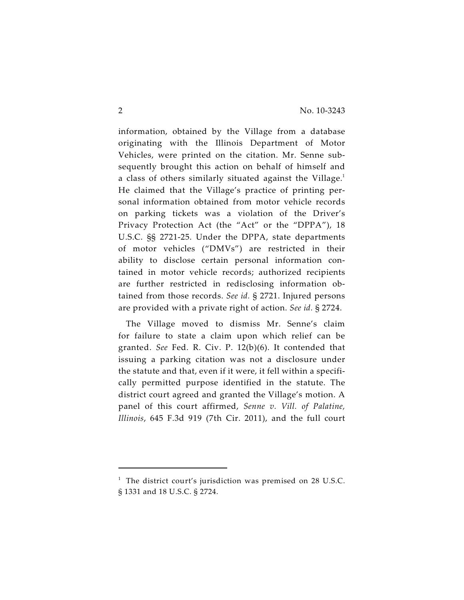information, obtained by the Village from a database originating with the Illinois Department of Motor Vehicles, were printed on the citation. Mr. Senne subsequently brought this action on behalf of himself and a class of others similarly situated against the Village. 1 He claimed that the Village's practice of printing personal information obtained from motor vehicle records on parking tickets was a violation of the Driver's Privacy Protection Act (the "Act" or the "DPPA"), 18 U.S.C. §§ 2721-25. Under the DPPA, state departments of motor vehicles ("DMVs") are restricted in their ability to disclose certain personal information contained in motor vehicle records; authorized recipients are further restricted in redisclosing information obtained from those records. *See id.* § 2721. Injured persons are provided with a private right of action. *See id.* § 2724.

The Village moved to dismiss Mr. Senne's claim for failure to state a claim upon which relief can be granted. *See* Fed. R. Civ. P. 12(b)(6). It contended that issuing a parking citation was not a disclosure under the statute and that, even if it were, it fell within a specifically permitted purpose identified in the statute. The district court agreed and granted the Village's motion. A panel of this court affirmed, *Senne v. Vill. of Palatine, Illinois*, 645 F.3d 919 (7th Cir. 2011), and the full court

 $1$  The district court's jurisdiction was premised on 28 U.S.C. § 1331 and 18 U.S.C. § 2724.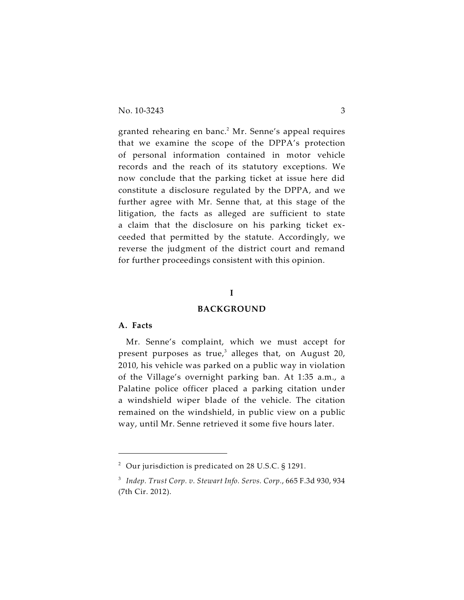granted rehearing en banc.<sup>2</sup> Mr. Senne's appeal requires that we examine the scope of the DPPA's protection of personal information contained in motor vehicle records and the reach of its statutory exceptions. We now conclude that the parking ticket at issue here did constitute a disclosure regulated by the DPPA, and we further agree with Mr. Senne that, at this stage of the litigation, the facts as alleged are sufficient to state a claim that the disclosure on his parking ticket exceeded that permitted by the statute. Accordingly, we reverse the judgment of the district court and remand for further proceedings consistent with this opinion.

## **I**

### **BACKGROUND**

# **A. Facts**

Mr. Senne's complaint, which we must accept for present purposes as true, $3$  alleges that, on August 20, 2010, his vehicle was parked on a public way in violation of the Village's overnight parking ban. At 1:35 a.m., a Palatine police officer placed a parking citation under a windshield wiper blade of the vehicle. The citation remained on the windshield, in public view on a public way, until Mr. Senne retrieved it some five hours later.

 $^2$  Our jurisdiction is predicated on 28 U.S.C. § 1291.

<sup>&</sup>lt;sup>3</sup> Indep. Trust Corp. v. Stewart Info. Servs. Corp., 665 F.3d 930, 934 (7th Cir. 2012).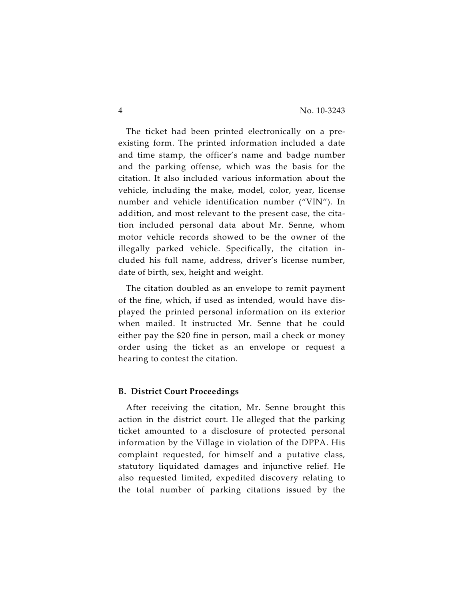The ticket had been printed electronically on a preexisting form. The printed information included a date and time stamp, the officer's name and badge number and the parking offense, which was the basis for the citation. It also included various information about the vehicle, including the make, model, color, year, license number and vehicle identification number ("VIN"). In addition, and most relevant to the present case, the citation included personal data about Mr. Senne, whom motor vehicle records showed to be the owner of the illegally parked vehicle. Specifically, the citation included his full name, address, driver's license number, date of birth, sex, height and weight.

The citation doubled as an envelope to remit payment of the fine, which, if used as intended, would have displayed the printed personal information on its exterior when mailed. It instructed Mr. Senne that he could either pay the \$20 fine in person, mail a check or money order using the ticket as an envelope or request a hearing to contest the citation.

# **B. District Court Proceedings**

After receiving the citation, Mr. Senne brought this action in the district court. He alleged that the parking ticket amounted to a disclosure of protected personal information by the Village in violation of the DPPA. His complaint requested, for himself and a putative class, statutory liquidated damages and injunctive relief. He also requested limited, expedited discovery relating to the total number of parking citations issued by the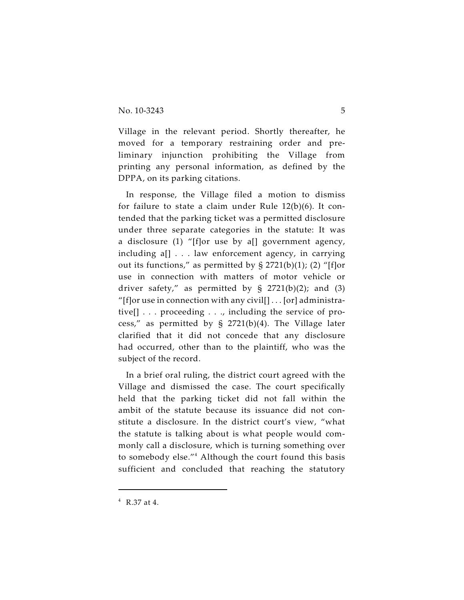Village in the relevant period. Shortly thereafter, he moved for a temporary restraining order and preliminary injunction prohibiting the Village from printing any personal information, as defined by the DPPA, on its parking citations.

In response, the Village filed a motion to dismiss for failure to state a claim under Rule 12(b)(6). It contended that the parking ticket was a permitted disclosure under three separate categories in the statute: It was a disclosure (1) "[f]or use by a[] government agency, including a[] . . . law enforcement agency, in carrying out its functions," as permitted by  $\S 2721(b)(1)$ ; (2) "[f]or use in connection with matters of motor vehicle or driver safety," as permitted by  $\S$  2721(b)(2); and (3) "[f]or use in connection with any civil[] . . . [or] administrative[] . . . proceeding . . ., including the service of process," as permitted by § 2721(b)(4). The Village later clarified that it did not concede that any disclosure had occurred, other than to the plaintiff, who was the subject of the record.

In a brief oral ruling, the district court agreed with the Village and dismissed the case. The court specifically held that the parking ticket did not fall within the ambit of the statute because its issuance did not constitute a disclosure. In the district court's view, "what the statute is talking about is what people would commonly call a disclosure, which is turning something over to somebody else." $4$  Although the court found this basis sufficient and concluded that reaching the statutory

 $4$  R.37 at 4.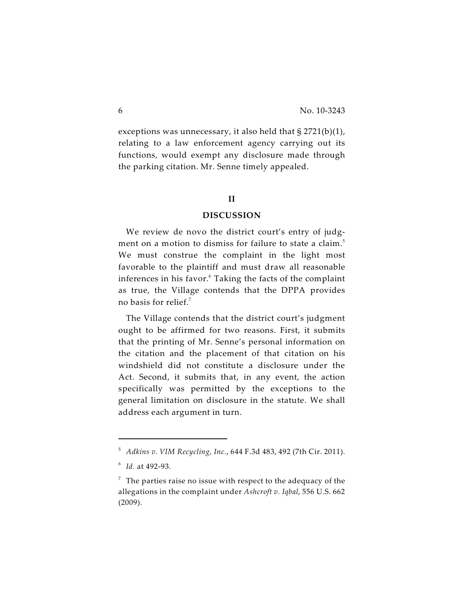exceptions was unnecessary, it also held that § 2721(b)(1), relating to a law enforcement agency carrying out its functions, would exempt any disclosure made through the parking citation. Mr. Senne timely appealed.

## **II**

#### **DISCUSSION**

We review de novo the district court's entry of judgment on a motion to dismiss for failure to state a claim.<sup>5</sup> We must construe the complaint in the light most favorable to the plaintiff and must draw all reasonable inferences in his favor.<sup>6</sup> Taking the facts of the complaint as true, the Village contends that the DPPA provides no basis for relief. 7

The Village contends that the district court's judgment ought to be affirmed for two reasons. First, it submits that the printing of Mr. Senne's personal information on the citation and the placement of that citation on his windshield did not constitute a disclosure under the Act. Second, it submits that, in any event, the action specifically was permitted by the exceptions to the general limitation on disclosure in the statute. We shall address each argument in turn.

*Adkins v. VIM Recycling, Inc.*, 644 F.3d 483, 492 (7th Cir. 2011). <sup>5</sup>

<sup>&</sup>lt;sup>6</sup> *Id.* at 492-93.

 $\frac{7}{7}$  The parties raise no issue with respect to the adequacy of the allegations in the complaint under *Ashcroft v. Iqbal*, 556 U.S. 662 (2009).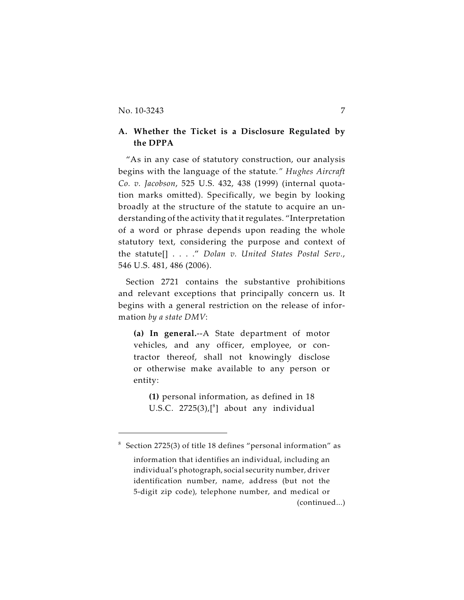# **A. Whether the Ticket is a Disclosure Regulated by the DPPA**

"As in any case of statutory construction, our analysis begins with the language of the statute*." Hughes Aircraft Co. v. Jacobson*, 525 U.S. 432, 438 (1999) (internal quotation marks omitted). Specifically, we begin by looking broadly at the structure of the statute to acquire an understanding of the activity that it regulates. "Interpretation of a word or phrase depends upon reading the whole statutory text, considering the purpose and context of the statute[] . . . ." *Dolan v. United States Postal Serv.*, 546 U.S. 481, 486 (2006).

Section 2721 contains the substantive prohibitions and relevant exceptions that principally concern us. It begins with a general restriction on the release of information *by a state DMV*:

**(a) In general.**--A State department of motor vehicles, and any officer, employee, or contractor thereof, shall not knowingly disclose or otherwise make available to any person or entity:

**(1)** personal information, as defined in 18 U.S.C.  $2725(3)$ , $[^{8}$ ] about any individual

 $8$  Section 2725(3) of title 18 defines "personal information" as

information that identifies an individual, including an individual's photograph, social security number, driver identification number, name, address (but not the 5-digit zip code), telephone number, and medical or (continued...)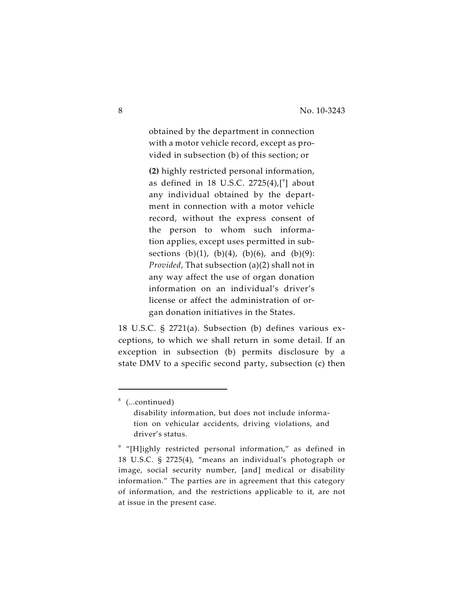obtained by the department in connection with a motor vehicle record, except as provided in subsection (b) of this section; or

**(2)** highly restricted personal information, as defined in 18 U.S.C.  $2725(4)$ , [<sup>9</sup>] about any individual obtained by the department in connection with a motor vehicle record, without the express consent of the person to whom such information applies, except uses permitted in subsections (b)(1), (b)(4), (b)(6), and (b)(9): *Provided*, That subsection (a)(2) shall not in any way affect the use of organ donation information on an individual's driver's license or affect the administration of organ donation initiatives in the States.

18 U.S.C. § 2721(a). Subsection (b) defines various exceptions, to which we shall return in some detail. If an exception in subsection (b) permits disclosure by a state DMV to a specific second party, subsection (c) then

 $% (...continued)$ 

disability information, but does not include information on vehicular accidents, driving violations, and driver's status.

 $9$  "[H]ighly restricted personal information," as defined in 18 U.S.C. § 2725(4), "means an individual's photograph or image, social security number, [and] medical or disability information." The parties are in agreement that this category of information, and the restrictions applicable to it, are not at issue in the present case.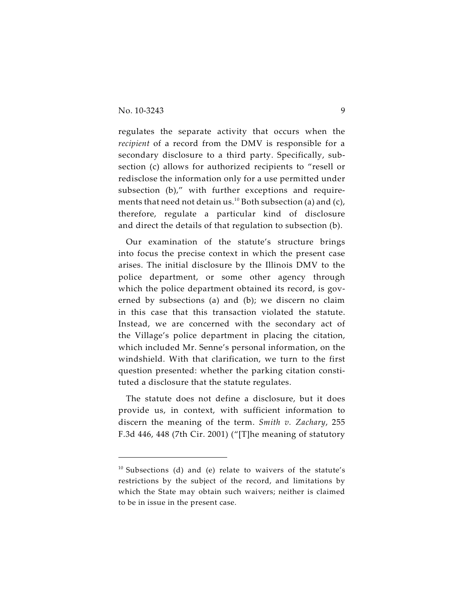regulates the separate activity that occurs when the *recipient* of a record from the DMV is responsible for a secondary disclosure to a third party. Specifically, subsection (c) allows for authorized recipients to "resell or redisclose the information only for a use permitted under subsection (b)," with further exceptions and requirements that need not detain us.<sup>10</sup> Both subsection (a) and (c), therefore, regulate a particular kind of disclosure and direct the details of that regulation to subsection (b).

Our examination of the statute's structure brings into focus the precise context in which the present case arises. The initial disclosure by the Illinois DMV to the police department, or some other agency through which the police department obtained its record, is governed by subsections (a) and (b); we discern no claim in this case that this transaction violated the statute. Instead, we are concerned with the secondary act of the Village's police department in placing the citation, which included Mr. Senne's personal information, on the windshield. With that clarification, we turn to the first question presented: whether the parking citation constituted a disclosure that the statute regulates.

The statute does not define a disclosure, but it does provide us, in context, with sufficient information to discern the meaning of the term. *Smith v. Zachary*, 255 F.3d 446, 448 (7th Cir. 2001) ("[T]he meaning of statutory

 $10$  Subsections (d) and (e) relate to waivers of the statute's restrictions by the subject of the record, and limitations by which the State may obtain such waivers; neither is claimed to be in issue in the present case.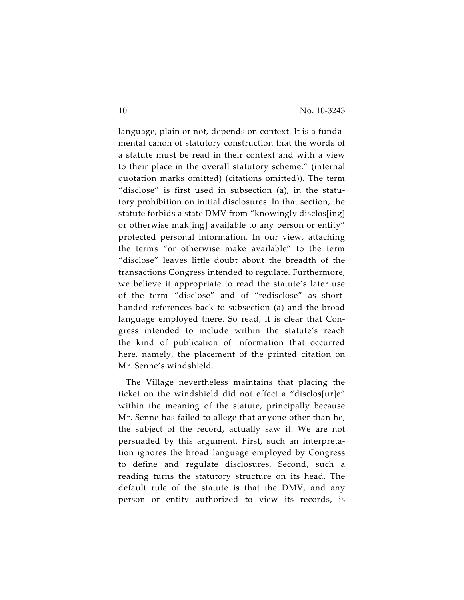language, plain or not, depends on context. It is a fundamental canon of statutory construction that the words of a statute must be read in their context and with a view to their place in the overall statutory scheme." (internal quotation marks omitted) (citations omitted)). The term "disclose" is first used in subsection (a), in the statutory prohibition on initial disclosures. In that section, the statute forbids a state DMV from "knowingly disclos[ing] or otherwise mak[ing] available to any person or entity" protected personal information. In our view, attaching the terms "or otherwise make available" to the term "disclose" leaves little doubt about the breadth of the transactions Congress intended to regulate. Furthermore, we believe it appropriate to read the statute's later use of the term "disclose" and of "redisclose" as shorthanded references back to subsection (a) and the broad language employed there. So read, it is clear that Congress intended to include within the statute's reach the kind of publication of information that occurred here, namely, the placement of the printed citation on Mr. Senne's windshield.

The Village nevertheless maintains that placing the ticket on the windshield did not effect a "disclos[ur]e" within the meaning of the statute, principally because Mr. Senne has failed to allege that anyone other than he, the subject of the record, actually saw it. We are not persuaded by this argument. First, such an interpretation ignores the broad language employed by Congress to define and regulate disclosures. Second, such a reading turns the statutory structure on its head. The default rule of the statute is that the DMV, and any person or entity authorized to view its records, is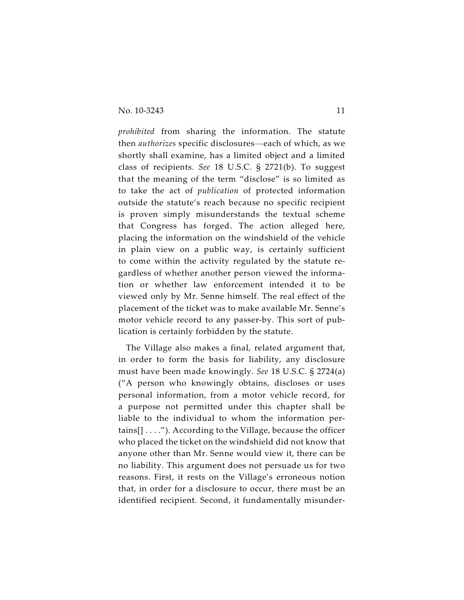*prohibited* from sharing the information. The statute then *authorizes* specific disclosures—each of which, as we shortly shall examine, has a limited object and a limited class of recipients. *See* 18 U.S.C. § 2721(b). To suggest that the meaning of the term "disclose" is so limited as to take the act of *publication* of protected information outside the statute's reach because no specific recipient is proven simply misunderstands the textual scheme that Congress has forged. The action alleged here, placing the information on the windshield of the vehicle in plain view on a public way, is certainly sufficient to come within the activity regulated by the statute regardless of whether another person viewed the information or whether law enforcement intended it to be viewed only by Mr. Senne himself. The real effect of the placement of the ticket was to make available Mr. Senne's motor vehicle record to any passer-by. This sort of publication is certainly forbidden by the statute.

The Village also makes a final, related argument that, in order to form the basis for liability, any disclosure must have been made knowingly. *See* 18 U.S.C. § 2724(a) ("A person who knowingly obtains, discloses or uses personal information, from a motor vehicle record, for a purpose not permitted under this chapter shall be liable to the individual to whom the information pertains[] . . . ."). According to the Village, because the officer who placed the ticket on the windshield did not know that anyone other than Mr. Senne would view it, there can be no liability. This argument does not persuade us for two reasons. First, it rests on the Village's erroneous notion that, in order for a disclosure to occur, there must be an identified recipient. Second, it fundamentally misunder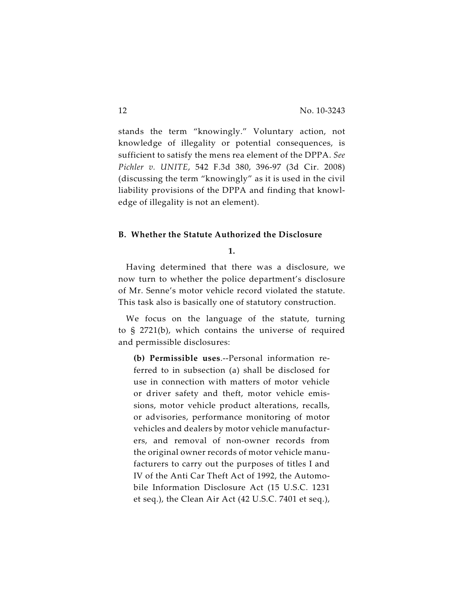stands the term "knowingly." Voluntary action, not knowledge of illegality or potential consequences, is sufficient to satisfy the mens rea element of the DPPA. *See Pichler v. UNITE*, 542 F.3d 380, 396-97 (3d Cir. 2008) (discussing the term "knowingly" as it is used in the civil liability provisions of the DPPA and finding that knowledge of illegality is not an element).

# **B. Whether the Statute Authorized the Disclosure**

**1.**

Having determined that there was a disclosure, we now turn to whether the police department's disclosure of Mr. Senne's motor vehicle record violated the statute. This task also is basically one of statutory construction.

We focus on the language of the statute, turning to § 2721(b), which contains the universe of required and permissible disclosures:

**(b) Permissible uses**.--Personal information referred to in subsection (a) shall be disclosed for use in connection with matters of motor vehicle or driver safety and theft, motor vehicle emissions, motor vehicle product alterations, recalls, or advisories, performance monitoring of motor vehicles and dealers by motor vehicle manufacturers, and removal of non-owner records from the original owner records of motor vehicle manufacturers to carry out the purposes of titles I and IV of the Anti Car Theft Act of 1992, the Automobile Information Disclosure Act (15 U.S.C. 1231 et seq.), the Clean Air Act (42 U.S.C. 7401 et seq.),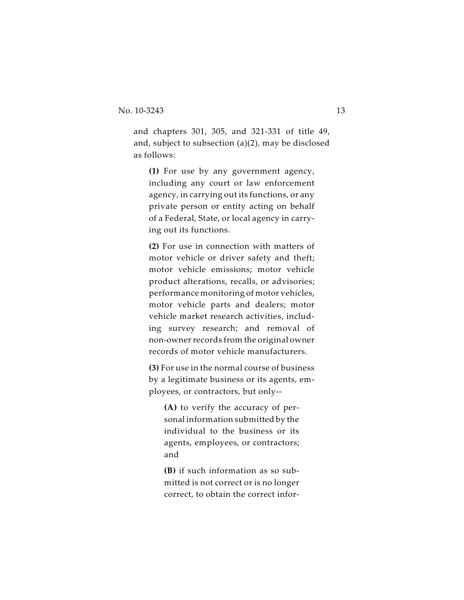and chapters 301, 305, and 321-331 of title 49, and, subject to subsection (a)(2), may be disclosed as follows:

**(1)** For use by any government agency, including any court or law enforcement agency, in carrying out its functions, or any private person or entity acting on behalf of a Federal, State, or local agency in carrying out its functions.

**(2)** For use in connection with matters of motor vehicle or driver safety and theft; motor vehicle emissions; motor vehicle product alterations, recalls, or advisories; performance monitoring of motor vehicles, motor vehicle parts and dealers; motor vehicle market research activities, including survey research; and removal of non-owner records from the original owner records of motor vehicle manufacturers.

**(3)** For use in the normal course of business by a legitimate business or its agents, employees, or contractors, but only--

**(A)** to verify the accuracy of personal information submitted by the individual to the business or its agents, employees, or contractors; and

**(B)** if such information as so submitted is not correct or is no longer correct, to obtain the correct infor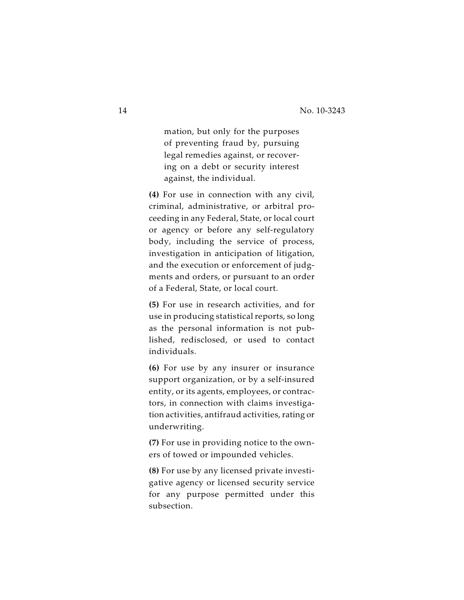mation, but only for the purposes of preventing fraud by, pursuing legal remedies against, or recovering on a debt or security interest against, the individual.

**(4)** For use in connection with any civil, criminal, administrative, or arbitral proceeding in any Federal, State, or local court or agency or before any self-regulatory body, including the service of process, investigation in anticipation of litigation, and the execution or enforcement of judgments and orders, or pursuant to an order of a Federal, State, or local court.

**(5)** For use in research activities, and for use in producing statistical reports, so long as the personal information is not published, redisclosed, or used to contact individuals.

**(6)** For use by any insurer or insurance support organization, or by a self-insured entity, or its agents, employees, or contractors, in connection with claims investigation activities, antifraud activities, rating or underwriting.

**(7)** For use in providing notice to the owners of towed or impounded vehicles.

**(8)** For use by any licensed private investigative agency or licensed security service for any purpose permitted under this subsection.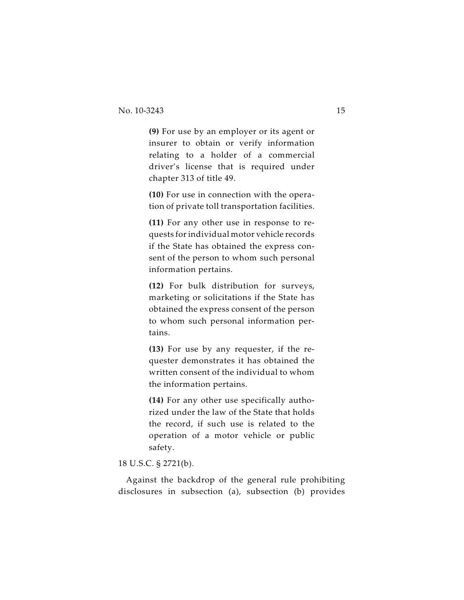**(9)** For use by an employer or its agent or insurer to obtain or verify information relating to a holder of a commercial driver's license that is required under chapter 313 of title 49.

**(10)** For use in connection with the operation of private toll transportation facilities.

**(11)** For any other use in response to requests for individual motor vehicle records if the State has obtained the express consent of the person to whom such personal information pertains.

**(12)** For bulk distribution for surveys, marketing or solicitations if the State has obtained the express consent of the person to whom such personal information pertains.

**(13)** For use by any requester, if the requester demonstrates it has obtained the written consent of the individual to whom the information pertains.

**(14)** For any other use specifically authorized under the law of the State that holds the record, if such use is related to the operation of a motor vehicle or public safety.

# 18 U.S.C. § 2721(b).

Against the backdrop of the general rule prohibiting disclosures in subsection (a), subsection (b) provides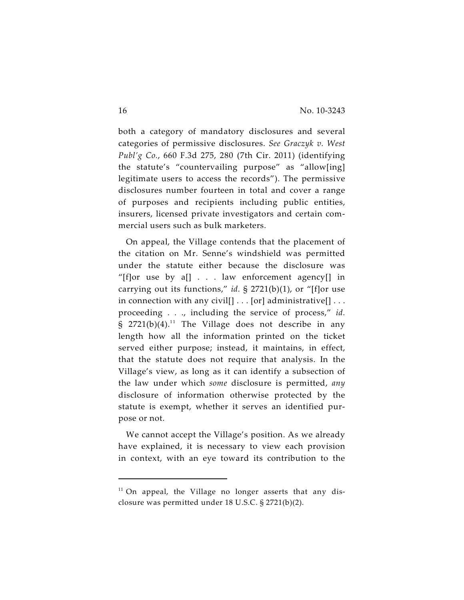both a category of mandatory disclosures and several categories of permissive disclosures. *See Graczyk v. West Publ'g Co.*, 660 F.3d 275, 280 (7th Cir. 2011) (identifying the statute's "countervailing purpose" as "allow[ing] legitimate users to access the records"). The permissive disclosures number fourteen in total and cover a range of purposes and recipients including public entities, insurers, licensed private investigators and certain commercial users such as bulk marketers.

On appeal, the Village contends that the placement of the citation on Mr. Senne's windshield was permitted under the statute either because the disclosure was "[f]or use by  $a$ [] . . . law enforcement agency[] in carrying out its functions," *id.* § 2721(b)(1), or "[f]or use in connection with any civil[ $] \ldots$  [or] administrative[ $] \ldots$ proceeding . . ., including the service of process," *id.* § 2721(b)(4).<sup>11</sup> The Village does not describe in any length how all the information printed on the ticket served either purpose; instead, it maintains, in effect, that the statute does not require that analysis. In the Village's view, as long as it can identify a subsection of the law under which *some* disclosure is permitted, *any* disclosure of information otherwise protected by the statute is exempt, whether it serves an identified purpose or not.

We cannot accept the Village's position. As we already have explained, it is necessary to view each provision in context, with an eye toward its contribution to the

 $11$  On appeal, the Village no longer asserts that any disclosure was permitted under 18 U.S.C. § 2721(b)(2).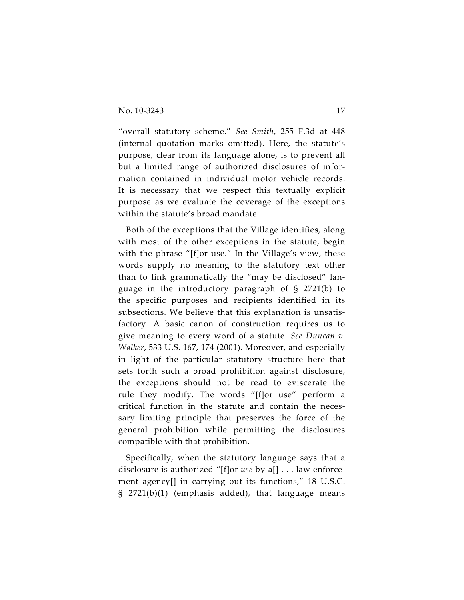"overall statutory scheme." *See Smith*, 255 F.3d at 448 (internal quotation marks omitted). Here, the statute's purpose, clear from its language alone, is to prevent all but a limited range of authorized disclosures of information contained in individual motor vehicle records. It is necessary that we respect this textually explicit purpose as we evaluate the coverage of the exceptions within the statute's broad mandate.

Both of the exceptions that the Village identifies, along with most of the other exceptions in the statute, begin with the phrase "[f]or use." In the Village's view, these words supply no meaning to the statutory text other than to link grammatically the "may be disclosed" language in the introductory paragraph of § 2721(b) to the specific purposes and recipients identified in its subsections. We believe that this explanation is unsatisfactory. A basic canon of construction requires us to give meaning to every word of a statute. *See Duncan v. Walker*, 533 U.S. 167, 174 (2001). Moreover, and especially in light of the particular statutory structure here that sets forth such a broad prohibition against disclosure, the exceptions should not be read to eviscerate the rule they modify. The words "[f]or use" perform a critical function in the statute and contain the necessary limiting principle that preserves the force of the general prohibition while permitting the disclosures compatible with that prohibition.

Specifically, when the statutory language says that a disclosure is authorized "[f]or *use* by a[] . . . law enforcement agency[] in carrying out its functions," 18 U.S.C. § 2721(b)(1) (emphasis added), that language means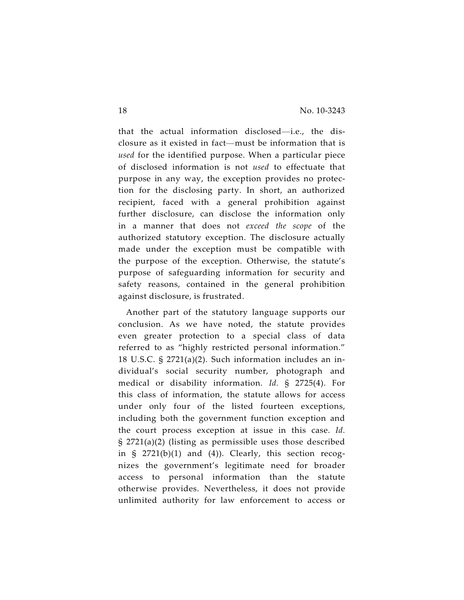that the actual information disclosed—i.e., the disclosure as it existed in fact—must be information that is *used* for the identified purpose. When a particular piece of disclosed information is not *used* to effectuate that purpose in any way, the exception provides no protection for the disclosing party. In short, an authorized recipient, faced with a general prohibition against further disclosure, can disclose the information only in a manner that does not *exceed the scope* of the authorized statutory exception. The disclosure actually made under the exception must be compatible with the purpose of the exception. Otherwise, the statute's purpose of safeguarding information for security and safety reasons, contained in the general prohibition against disclosure, is frustrated.

Another part of the statutory language supports our conclusion. As we have noted, the statute provides even greater protection to a special class of data referred to as "highly restricted personal information." 18 U.S.C. § 2721(a)(2). Such information includes an individual's social security number, photograph and medical or disability information. *Id.* § 2725(4). For this class of information, the statute allows for access under only four of the listed fourteen exceptions, including both the government function exception and the court process exception at issue in this case. *Id.* § 2721(a)(2) (listing as permissible uses those described in  $\S$  2721(b)(1) and (4)). Clearly, this section recognizes the government's legitimate need for broader access to personal information than the statute otherwise provides. Nevertheless, it does not provide unlimited authority for law enforcement to access or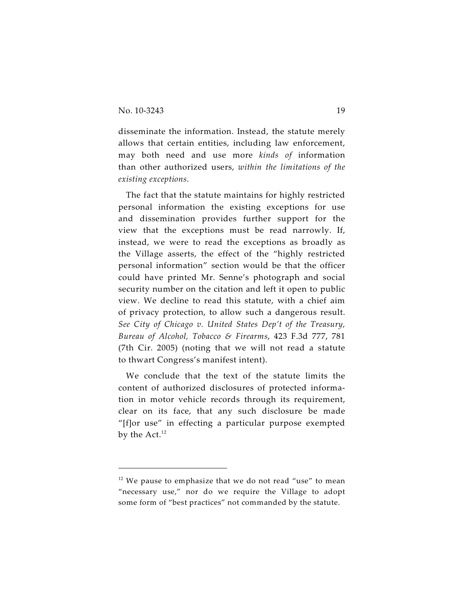disseminate the information. Instead, the statute merely allows that certain entities, including law enforcement, may both need and use more *kinds of* information than other authorized users, *within the limitations of the existing exceptions*.

The fact that the statute maintains for highly restricted personal information the existing exceptions for use and dissemination provides further support for the view that the exceptions must be read narrowly. If, instead, we were to read the exceptions as broadly as the Village asserts, the effect of the "highly restricted personal information" section would be that the officer could have printed Mr. Senne's photograph and social security number on the citation and left it open to public view. We decline to read this statute, with a chief aim of privacy protection, to allow such a dangerous result. *See City of Chicago v. United States Dep't of the Treasury, Bureau of Alcohol, Tobacco & Firearms*, 423 F.3d 777, 781 (7th Cir. 2005) (noting that we will not read a statute to thwart Congress's manifest intent).

We conclude that the text of the statute limits the content of authorized disclosures of protected information in motor vehicle records through its requirement, clear on its face, that any such disclosure be made "[f]or use" in effecting a particular purpose exempted by the Act.<sup>12</sup>

 $12$  We pause to emphasize that we do not read "use" to mean "necessary use," nor do we require the Village to adopt some form of "best practices" not commanded by the statute.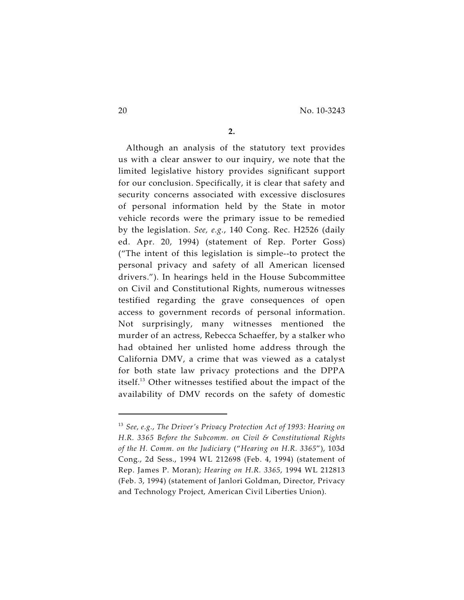**2.**

Although an analysis of the statutory text provides us with a clear answer to our inquiry, we note that the limited legislative history provides significant support for our conclusion. Specifically, it is clear that safety and security concerns associated with excessive disclosures of personal information held by the State in motor vehicle records were the primary issue to be remedied by the legislation. *See, e.g.*, 140 Cong. Rec. H2526 (daily ed. Apr. 20, 1994) (statement of Rep. Porter Goss) ("The intent of this legislation is simple--to protect the personal privacy and safety of all American licensed drivers."). In hearings held in the House Subcommittee on Civil and Constitutional Rights, numerous witnesses testified regarding the grave consequences of open access to government records of personal information. Not surprisingly, many witnesses mentioned the murder of an actress, Rebecca Schaeffer, by a stalker who had obtained her unlisted home address through the California DMV, a crime that was viewed as a catalyst for both state law privacy protections and the DPPA itself. $^{13}$  Other witnesses testified about the impact of the availability of DMV records on the safety of domestic

<sup>&</sup>lt;sup>13</sup> See, e.g., The Driver's Privacy Protection Act of 1993: Hearing on *H.R. 3365 Before the Subcomm. on Civil & Constitutional Rights of the H. Comm. on the Judiciary* ("*Hearing on H.R. 3365*"), 103d Cong., 2d Sess., 1994 WL 212698 (Feb. 4, 1994) (statement of Rep. James P. Moran); *Hearing on H.R. 3365*, 1994 WL 212813 (Feb. 3, 1994) (statement of Janlori Goldman, Director, Privacy and Technology Project, American Civil Liberties Union).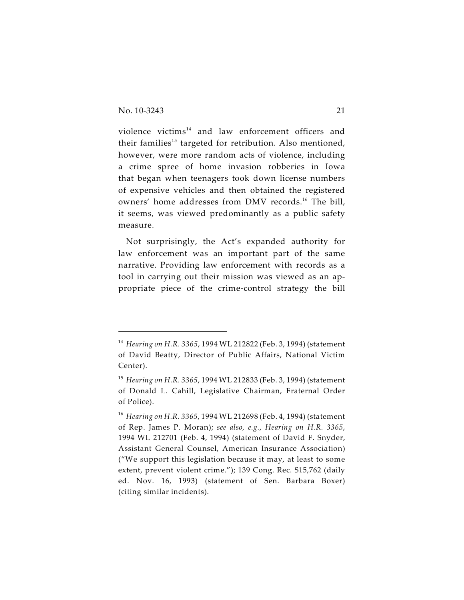violence victims $^{14}$  and law enforcement officers and their families<sup>15</sup> targeted for retribution. Also mentioned, however, were more random acts of violence, including a crime spree of home invasion robberies in Iowa that began when teenagers took down license numbers of expensive vehicles and then obtained the registered owners' home addresses from DMV records.<sup>16</sup> The bill, it seems, was viewed predominantly as a public safety measure.

Not surprisingly, the Act's expanded authority for law enforcement was an important part of the same narrative. Providing law enforcement with records as a tool in carrying out their mission was viewed as an appropriate piece of the crime-control strategy the bill

<sup>&</sup>lt;sup>14</sup> *Hearing on H.R. 3365,* 1994 WL 212822 (Feb. 3, 1994) (statement of David Beatty, Director of Public Affairs, National Victim Center).

<sup>&</sup>lt;sup>15</sup> *Hearing on H.R. 3365,* 1994 WL 212833 (Feb. 3, 1994) (statement of Donald L. Cahill, Legislative Chairman, Fraternal Order of Police).

<sup>&</sup>lt;sup>16</sup> *Hearing on H.R. 3365,* 1994 WL 212698 (Feb. 4, 1994) (statement of Rep. James P. Moran); *see also, e.g.*, *Hearing on H.R. 3365*, 1994 WL 212701 (Feb. 4, 1994) (statement of David F. Snyder, Assistant General Counsel, American Insurance Association) ("We support this legislation because it may, at least to some extent, prevent violent crime."); 139 Cong. Rec. S15,762 (daily ed. Nov. 16, 1993) (statement of Sen. Barbara Boxer) (citing similar incidents).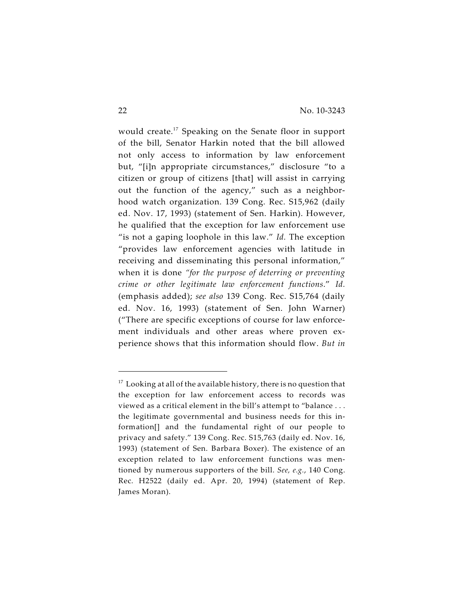would create.<sup>17</sup> Speaking on the Senate floor in support of the bill, Senator Harkin noted that the bill allowed not only access to information by law enforcement but, "[i]n appropriate circumstances," disclosure "to a citizen or group of citizens [that] will assist in carrying out the function of the agency," such as a neighborhood watch organization. 139 Cong. Rec. S15,962 (daily ed. Nov. 17, 1993) (statement of Sen. Harkin). However, he qualified that the exception for law enforcement use "is not a gaping loophole in this law." *Id.* The exception "provides law enforcement agencies with latitude in receiving and disseminating this personal information," when it is done *"for the purpose of deterring or preventing crime or other legitimate law enforcement functions*." *Id.* (emphasis added); *see also* 139 Cong. Rec. S15,764 (daily ed. Nov. 16, 1993) (statement of Sen. John Warner) ("There are specific exceptions of course for law enforcement individuals and other areas where proven experience shows that this information should flow. *But in*

 $17$  Looking at all of the available history, there is no question that the exception for law enforcement access to records was viewed as a critical element in the bill's attempt to "balance . . . the legitimate governmental and business needs for this information[] and the fundamental right of our people to privacy and safety." 139 Cong. Rec. S15,763 (daily ed. Nov. 16, 1993) (statement of Sen. Barbara Boxer). The existence of an exception related to law enforcement functions was mentioned by numerous supporters of the bill. *See, e.g.*, 140 Cong. Rec. H2522 (daily ed. Apr. 20, 1994) (statement of Rep. James Moran).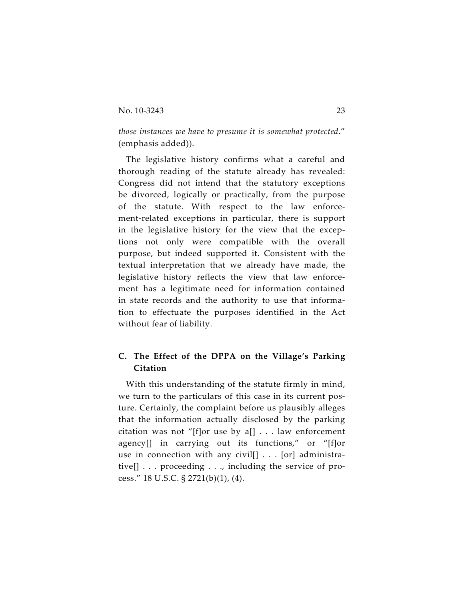*those instances we have to presume it is somewhat protected*." (emphasis added)).

The legislative history confirms what a careful and thorough reading of the statute already has revealed: Congress did not intend that the statutory exceptions be divorced, logically or practically, from the purpose of the statute. With respect to the law enforcement-related exceptions in particular, there is support in the legislative history for the view that the exceptions not only were compatible with the overall purpose, but indeed supported it. Consistent with the textual interpretation that we already have made, the legislative history reflects the view that law enforcement has a legitimate need for information contained in state records and the authority to use that information to effectuate the purposes identified in the Act without fear of liability.

# **C. The Effect of the DPPA on the Village's Parking Citation**

With this understanding of the statute firmly in mind, we turn to the particulars of this case in its current posture. Certainly, the complaint before us plausibly alleges that the information actually disclosed by the parking citation was not "[f]or use by  $a[] \dots$  law enforcement agency[] in carrying out its functions," or "[f]or use in connection with any civil[] . . . [or] administrative[] . . . proceeding . . ., including the service of process." 18 U.S.C. § 2721(b)(1), (4).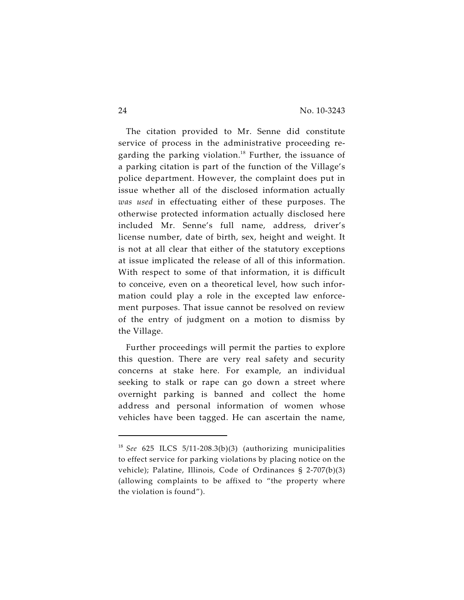The citation provided to Mr. Senne did constitute service of process in the administrative proceeding regarding the parking violation.<sup>18</sup> Further, the issuance of a parking citation is part of the function of the Village's police department. However, the complaint does put in issue whether all of the disclosed information actually *was used* in effectuating either of these purposes. The otherwise protected information actually disclosed here included Mr. Senne's full name, address, driver's license number, date of birth, sex, height and weight. It is not at all clear that either of the statutory exceptions at issue implicated the release of all of this information. With respect to some of that information, it is difficult to conceive, even on a theoretical level, how such information could play a role in the excepted law enforcement purposes. That issue cannot be resolved on review of the entry of judgment on a motion to dismiss by the Village.

Further proceedings will permit the parties to explore this question. There are very real safety and security concerns at stake here. For example, an individual seeking to stalk or rape can go down a street where overnight parking is banned and collect the home address and personal information of women whose vehicles have been tagged. He can ascertain the name,

<sup>&</sup>lt;sup>18</sup> See 625 ILCS 5/11-208.3(b)(3) (authorizing municipalities to effect service for parking violations by placing notice on the vehicle); Palatine, Illinois, Code of Ordinances § 2-707(b)(3) (allowing complaints to be affixed to "the property where the violation is found").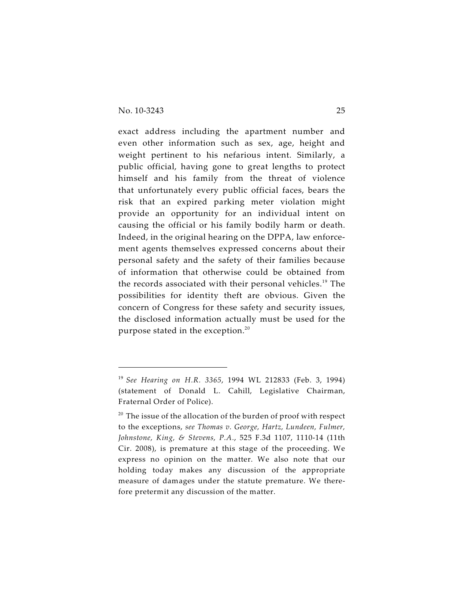exact address including the apartment number and even other information such as sex, age, height and weight pertinent to his nefarious intent. Similarly, a public official, having gone to great lengths to protect himself and his family from the threat of violence that unfortunately every public official faces, bears the risk that an expired parking meter violation might provide an opportunity for an individual intent on causing the official or his family bodily harm or death. Indeed, in the original hearing on the DPPA, law enforcement agents themselves expressed concerns about their personal safety and the safety of their families because of information that otherwise could be obtained from the records associated with their personal vehicles.<sup>19</sup> The possibilities for identity theft are obvious. Given the concern of Congress for these safety and security issues, the disclosed information actually must be used for the purpose stated in the exception.<sup>20</sup>

<sup>&</sup>lt;sup>19</sup> See Hearing on H.R. 3365, 1994 WL 212833 (Feb. 3, 1994) (statement of Donald L. Cahill, Legislative Chairman, Fraternal Order of Police).

 $20$  The issue of the allocation of the burden of proof with respect to the exceptions, *see Thomas v. George, Hartz, Lundeen, Fulmer, Johnstone, King, & Stevens, P.A.*, 525 F.3d 1107, 1110-14 (11th Cir. 2008), is premature at this stage of the proceeding. We express no opinion on the matter. We also note that our holding today makes any discussion of the appropriate measure of damages under the statute premature. We therefore pretermit any discussion of the matter.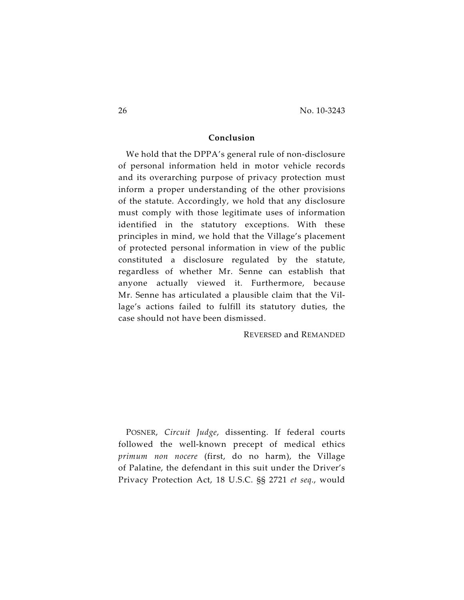# **Conclusion**

We hold that the DPPA's general rule of non-disclosure of personal information held in motor vehicle records and its overarching purpose of privacy protection must inform a proper understanding of the other provisions of the statute. Accordingly, we hold that any disclosure must comply with those legitimate uses of information identified in the statutory exceptions. With these principles in mind, we hold that the Village's placement of protected personal information in view of the public constituted a disclosure regulated by the statute, regardless of whether Mr. Senne can establish that anyone actually viewed it. Furthermore, because Mr. Senne has articulated a plausible claim that the Village's actions failed to fulfill its statutory duties, the case should not have been dismissed.

REVERSED and REMANDED

POSNER, *Circuit Judge*, dissenting. If federal courts followed the well-known precept of medical ethics *primum non nocere* (first, do no harm), the Village of Palatine, the defendant in this suit under the Driver's Privacy Protection Act, 18 U.S.C. §§ 2721 *et seq*., would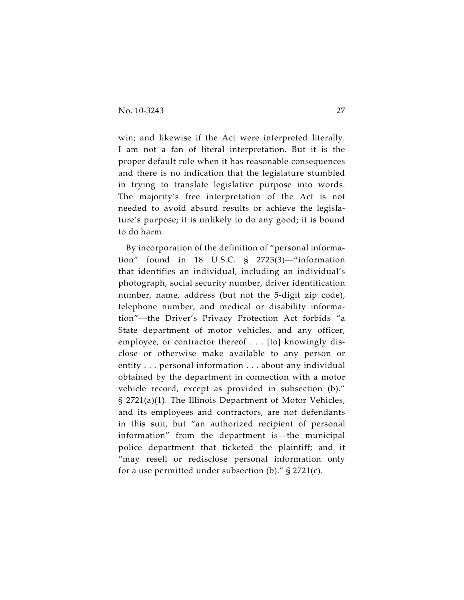win; and likewise if the Act were interpreted literally. I am not a fan of literal interpretation. But it is the proper default rule when it has reasonable consequences and there is no indication that the legislature stumbled in trying to translate legislative purpose into words. The majority's free interpretation of the Act is not needed to avoid absurd results or achieve the legislature's purpose; it is unlikely to do any good; it is bound to do harm.

By incorporation of the definition of "personal information" found in 18 U.S.C. § 2725(3)—"information that identifies an individual, including an individual's photograph, social security number, driver identification number, name, address (but not the 5-digit zip code), telephone number, and medical or disability information"—the Driver's Privacy Protection Act forbids "a State department of motor vehicles, and any officer, employee, or contractor thereof . . . [to] knowingly disclose or otherwise make available to any person or entity . . . personal information . . . about any individual obtained by the department in connection with a motor vehicle record, except as provided in subsection (b)." § 2721(a)(1). The Illinois Department of Motor Vehicles, and its employees and contractors, are not defendants in this suit, but "an authorized recipient of personal information" from the department is—the municipal police department that ticketed the plaintiff; and it "may resell or redisclose personal information only for a use permitted under subsection (b)."  $\S 2721(c)$ .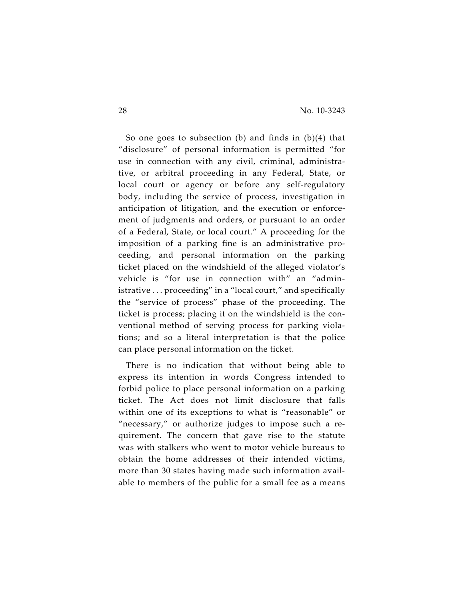So one goes to subsection (b) and finds in (b)(4) that "disclosure" of personal information is permitted "for use in connection with any civil, criminal, administrative, or arbitral proceeding in any Federal, State, or local court or agency or before any self-regulatory body, including the service of process, investigation in anticipation of litigation, and the execution or enforcement of judgments and orders, or pursuant to an order of a Federal, State, or local court." A proceeding for the imposition of a parking fine is an administrative proceeding, and personal information on the parking ticket placed on the windshield of the alleged violator's vehicle is "for use in connection with" an "administrative . . . proceeding" in a "local court," and specifically the "service of process" phase of the proceeding. The ticket is process; placing it on the windshield is the conventional method of serving process for parking violations; and so a literal interpretation is that the police can place personal information on the ticket.

There is no indication that without being able to express its intention in words Congress intended to forbid police to place personal information on a parking ticket. The Act does not limit disclosure that falls within one of its exceptions to what is "reasonable" or "necessary," or authorize judges to impose such a requirement. The concern that gave rise to the statute was with stalkers who went to motor vehicle bureaus to obtain the home addresses of their intended victims, more than 30 states having made such information available to members of the public for a small fee as a means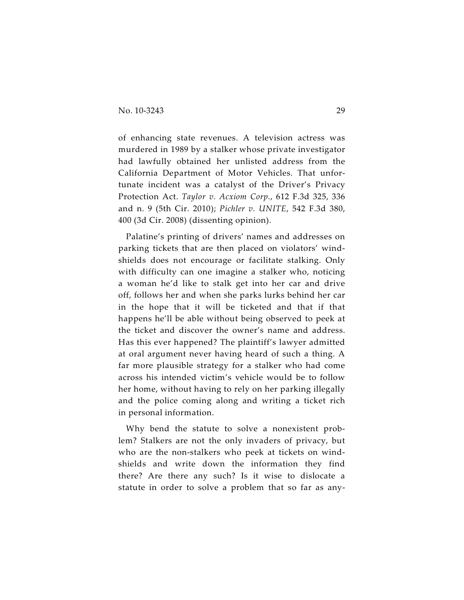of enhancing state revenues. A television actress was murdered in 1989 by a stalker whose private investigator had lawfully obtained her unlisted address from the California Department of Motor Vehicles. That unfortunate incident was a catalyst of the Driver's Privacy Protection Act. *Taylor v. Acxiom Corp.*, 612 F.3d 325, 336 and n. 9 (5th Cir. 2010); *Pichler v. UNITE*, 542 F.3d 380, 400 (3d Cir. 2008) (dissenting opinion).

Palatine's printing of drivers' names and addresses on parking tickets that are then placed on violators' windshields does not encourage or facilitate stalking. Only with difficulty can one imagine a stalker who, noticing a woman he'd like to stalk get into her car and drive off, follows her and when she parks lurks behind her car in the hope that it will be ticketed and that if that happens he'll be able without being observed to peek at the ticket and discover the owner's name and address. Has this ever happened? The plaintiff's lawyer admitted at oral argument never having heard of such a thing. A far more plausible strategy for a stalker who had come across his intended victim's vehicle would be to follow her home, without having to rely on her parking illegally and the police coming along and writing a ticket rich in personal information.

Why bend the statute to solve a nonexistent problem? Stalkers are not the only invaders of privacy, but who are the non-stalkers who peek at tickets on windshields and write down the information they find there? Are there any such? Is it wise to dislocate a statute in order to solve a problem that so far as any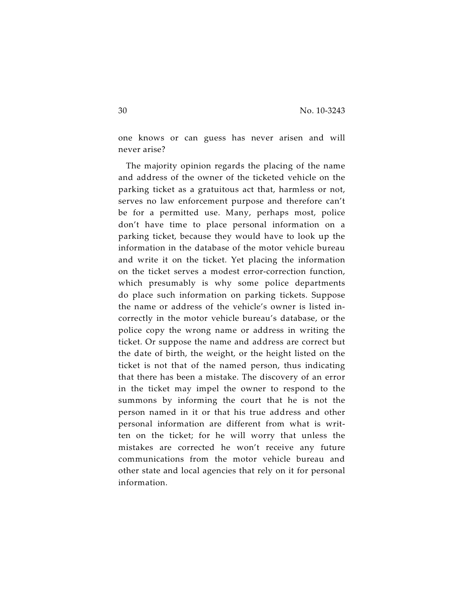one knows or can guess has never arisen and will never arise?

The majority opinion regards the placing of the name and address of the owner of the ticketed vehicle on the parking ticket as a gratuitous act that, harmless or not, serves no law enforcement purpose and therefore can't be for a permitted use. Many, perhaps most, police don't have time to place personal information on a parking ticket, because they would have to look up the information in the database of the motor vehicle bureau and write it on the ticket. Yet placing the information on the ticket serves a modest error-correction function, which presumably is why some police departments do place such information on parking tickets. Suppose the name or address of the vehicle's owner is listed incorrectly in the motor vehicle bureau's database, or the police copy the wrong name or address in writing the ticket. Or suppose the name and address are correct but the date of birth, the weight, or the height listed on the ticket is not that of the named person, thus indicating that there has been a mistake. The discovery of an error in the ticket may impel the owner to respond to the summons by informing the court that he is not the person named in it or that his true address and other personal information are different from what is written on the ticket; for he will worry that unless the mistakes are corrected he won't receive any future communications from the motor vehicle bureau and other state and local agencies that rely on it for personal information.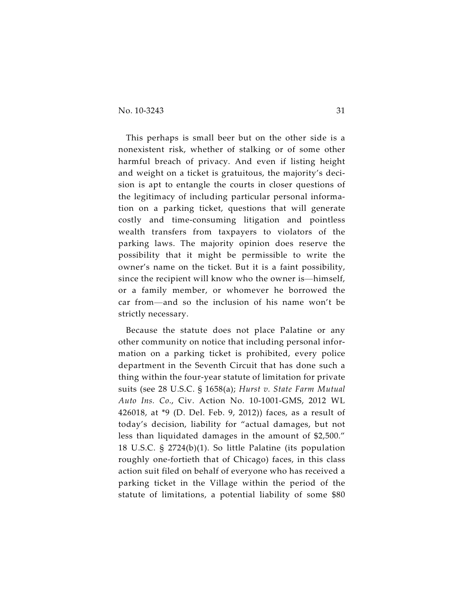This perhaps is small beer but on the other side is a nonexistent risk, whether of stalking or of some other harmful breach of privacy. And even if listing height and weight on a ticket is gratuitous, the majority's decision is apt to entangle the courts in closer questions of the legitimacy of including particular personal information on a parking ticket, questions that will generate costly and time-consuming litigation and pointless wealth transfers from taxpayers to violators of the parking laws. The majority opinion does reserve the possibility that it might be permissible to write the owner's name on the ticket. But it is a faint possibility, since the recipient will know who the owner is—himself, or a family member, or whomever he borrowed the car from—and so the inclusion of his name won't be strictly necessary.

Because the statute does not place Palatine or any other community on notice that including personal information on a parking ticket is prohibited, every police department in the Seventh Circuit that has done such a thing within the four-year statute of limitation for private suits (see 28 U.S.C. § 1658(a); *Hurst v. State Farm Mutual Auto Ins. Co*., Civ. Action No. 10-1001-GMS, 2012 WL 426018, at \*9 (D. Del. Feb. 9, 2012)) faces, as a result of today's decision, liability for "actual damages, but not less than liquidated damages in the amount of \$2,500." 18 U.S.C. § 2724(b)(1). So little Palatine (its population roughly one-fortieth that of Chicago) faces, in this class action suit filed on behalf of everyone who has received a parking ticket in the Village within the period of the statute of limitations, a potential liability of some \$80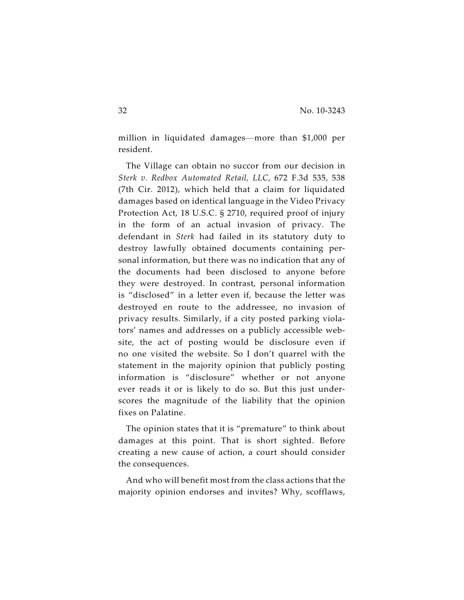million in liquidated damages—more than \$1,000 per resident.

The Village can obtain no succor from our decision in *Sterk v. Redbox Automated Retail, LLC*, 672 F.3d 535, 538 (7th Cir. 2012), which held that a claim for liquidated damages based on identical language in the Video Privacy Protection Act, 18 U.S.C. § 2710, required proof of injury in the form of an actual invasion of privacy. The defendant in *Sterk* had failed in its statutory duty to destroy lawfully obtained documents containing personal information, but there was no indication that any of the documents had been disclosed to anyone before they were destroyed. In contrast, personal information is "disclosed" in a letter even if, because the letter was destroyed en route to the addressee, no invasion of privacy results. Similarly, if a city posted parking violators' names and addresses on a publicly accessible website, the act of posting would be disclosure even if no one visited the website. So I don't quarrel with the statement in the majority opinion that publicly posting information is "disclosure" whether or not anyone ever reads it or is likely to do so. But this just underscores the magnitude of the liability that the opinion fixes on Palatine.

The opinion states that it is "premature" to think about damages at this point. That is short sighted. Before creating a new cause of action, a court should consider the consequences.

And who will benefit most from the class actions that the majority opinion endorses and invites? Why, scofflaws,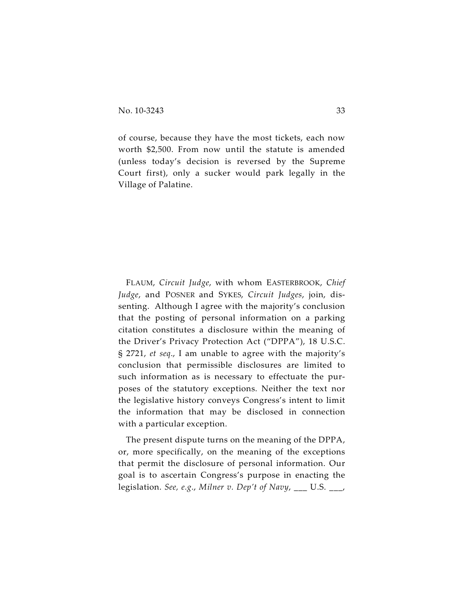of course, because they have the most tickets, each now worth \$2,500. From now until the statute is amended (unless today's decision is reversed by the Supreme Court first), only a sucker would park legally in the Village of Palatine.

FLAUM, *Circuit Judge*, with whom EASTERBROOK, *Chief Judge*, and POSNER and SYKES, *Circuit Judges*, join, dissenting. Although I agree with the majority's conclusion that the posting of personal information on a parking citation constitutes a disclosure within the meaning of the Driver's Privacy Protection Act ("DPPA"), 18 U.S.C. § 2721, *et seq*., I am unable to agree with the majority's conclusion that permissible disclosures are limited to such information as is necessary to effectuate the purposes of the statutory exceptions. Neither the text nor the legislative history conveys Congress's intent to limit the information that may be disclosed in connection with a particular exception.

The present dispute turns on the meaning of the DPPA, or, more specifically, on the meaning of the exceptions that permit the disclosure of personal information. Our goal is to ascertain Congress's purpose in enacting the legislation. *See, e.g*., *Milner v. Dep't of Navy*, \_\_\_ U.S. \_\_\_,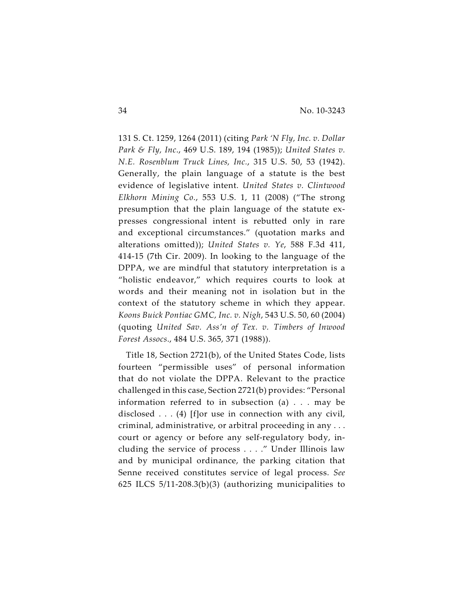131 S. Ct. 1259, 1264 (2011) (citing *Park 'N Fly, Inc. v. Dollar Park & Fly, Inc*., 469 U.S. 189, 194 (1985)); *United States v. N.E. Rosenblum Truck Lines, Inc.*, 315 U.S. 50, 53 (1942). Generally, the plain language of a statute is the best evidence of legislative intent. *United States v. Clintwood Elkhorn Mining Co.*, 553 U.S. 1, 11 (2008) ("The strong presumption that the plain language of the statute expresses congressional intent is rebutted only in rare and exceptional circumstances." (quotation marks and alterations omitted)); *United States v. Ye*, 588 F.3d 411, 414-15 (7th Cir. 2009). In looking to the language of the DPPA, we are mindful that statutory interpretation is a "holistic endeavor," which requires courts to look at words and their meaning not in isolation but in the context of the statutory scheme in which they appear. *Koons Buick Pontiac GMC, Inc. v. Nigh*, 543 U.S. 50, 60 (2004) (quoting *United Sav. Ass'n of Tex. v. Timbers of Inwood Forest Assocs*., 484 U.S. 365, 371 (1988)).

Title 18, Section 2721(b), of the United States Code, lists fourteen "permissible uses" of personal information that do not violate the DPPA. Relevant to the practice challenged in this case, Section 2721(b) provides: "Personal information referred to in subsection (a) . . . may be disclosed  $\dots$  (4) [f]or use in connection with any civil, criminal, administrative, or arbitral proceeding in any . . . court or agency or before any self-regulatory body, including the service of process . . . ." Under Illinois law and by municipal ordinance, the parking citation that Senne received constitutes service of legal process. *See* 625 ILCS 5/11-208.3(b)(3) (authorizing municipalities to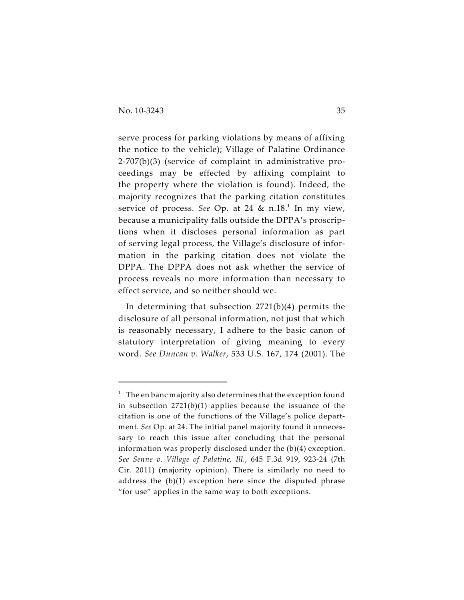serve process for parking violations by means of affixing the notice to the vehicle); Village of Palatine Ordinance 2-707(b)(3) (service of complaint in administrative proceedings may be effected by affixing complaint to the property where the violation is found). Indeed, the majority recognizes that the parking citation constitutes service of process. See Op. at 24 & n.18.<sup>1</sup> In my view, because a municipality falls outside the DPPA's proscriptions when it discloses personal information as part of serving legal process, the Village's disclosure of information in the parking citation does not violate the DPPA. The DPPA does not ask whether the service of process reveals no more information than necessary to effect service, and so neither should we.

In determining that subsection 2721(b)(4) permits the disclosure of all personal information, not just that which is reasonably necessary, I adhere to the basic canon of statutory interpretation of giving meaning to every word. *See Duncan v. Walker*, 533 U.S. 167, 174 (2001). The

 $1$  The en banc majority also determines that the exception found in subsection 2721(b)(1) applies because the issuance of the citation is one of the functions of the Village's police department. *See* Op. at 24. The initial panel majority found it unnecessary to reach this issue after concluding that the personal information was properly disclosed under the (b)(4) exception. *See Senne v. Village of Palatine, Ill.*, 645 F.3d 919, 923-24 (7th Cir. 2011) (majority opinion). There is similarly no need to address the (b)(1) exception here since the disputed phrase "for use" applies in the same way to both exceptions.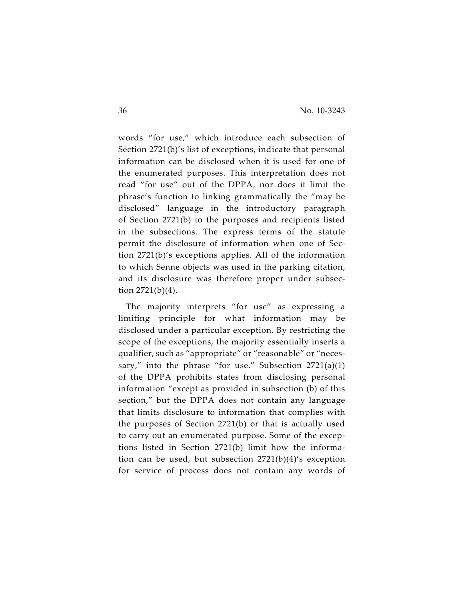words "for use," which introduce each subsection of Section 2721(b)'s list of exceptions, indicate that personal information can be disclosed when it is used for one of the enumerated purposes. This interpretation does not read "for use" out of the DPPA, nor does it limit the phrase's function to linking grammatically the "may be disclosed" language in the introductory paragraph of Section 2721(b) to the purposes and recipients listed in the subsections. The express terms of the statute permit the disclosure of information when one of Section 2721(b)'s exceptions applies. All of the information to which Senne objects was used in the parking citation, and its disclosure was therefore proper under subsection 2721(b)(4).

The majority interprets "for use" as expressing a limiting principle for what information may be disclosed under a particular exception. By restricting the scope of the exceptions, the majority essentially inserts a qualifier, such as "appropriate" or "reasonable" or "necessary," into the phrase "for use." Subsection  $2721(a)(1)$ of the DPPA prohibits states from disclosing personal information "except as provided in subsection (b) of this section," but the DPPA does not contain any language that limits disclosure to information that complies with the purposes of Section 2721(b) or that is actually used to carry out an enumerated purpose. Some of the exceptions listed in Section 2721(b) limit how the information can be used, but subsection 2721(b)(4)'s exception for service of process does not contain any words of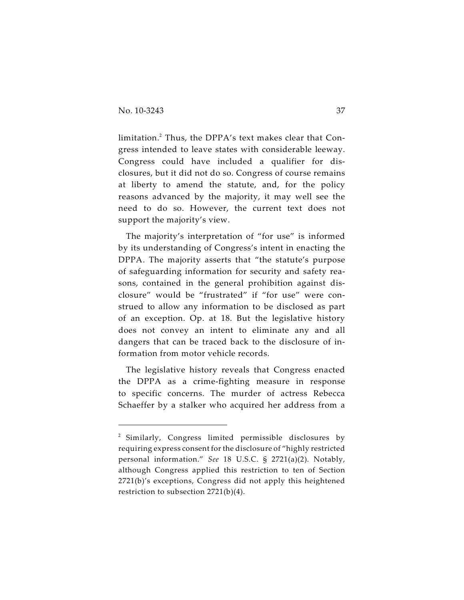limitation.<sup>2</sup> Thus, the DPPA's text makes clear that Congress intended to leave states with considerable leeway. Congress could have included a qualifier for disclosures, but it did not do so. Congress of course remains at liberty to amend the statute, and, for the policy reasons advanced by the majority, it may well see the need to do so. However, the current text does not support the majority's view.

The majority's interpretation of "for use" is informed by its understanding of Congress's intent in enacting the DPPA. The majority asserts that "the statute's purpose of safeguarding information for security and safety reasons, contained in the general prohibition against disclosure" would be "frustrated" if "for use" were construed to allow any information to be disclosed as part of an exception. Op. at 18. But the legislative history does not convey an intent to eliminate any and all dangers that can be traced back to the disclosure of information from motor vehicle records.

The legislative history reveals that Congress enacted the DPPA as a crime-fighting measure in response to specific concerns. The murder of actress Rebecca Schaeffer by a stalker who acquired her address from a

 $2$  Similarly, Congress limited permissible disclosures by requiring express consent for the disclosure of "highly restricted personal information." *See* 18 U.S.C. § 2721(a)(2). Notably, although Congress applied this restriction to ten of Section 2721(b)'s exceptions, Congress did not apply this heightened restriction to subsection 2721(b)(4).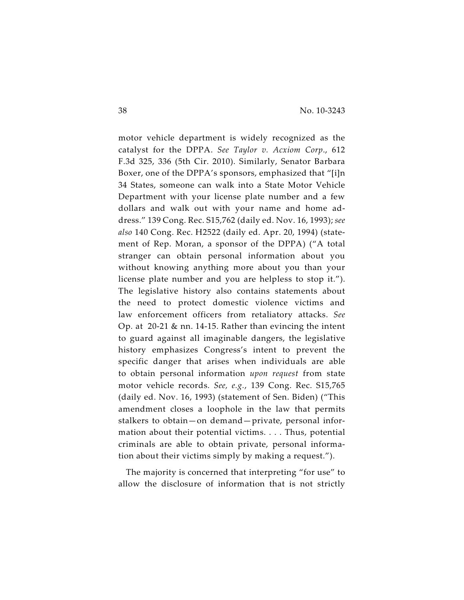motor vehicle department is widely recognized as the catalyst for the DPPA. *See Taylor v. Acxiom Corp*., 612 F.3d 325, 336 (5th Cir. 2010). Similarly, Senator Barbara Boxer, one of the DPPA's sponsors, emphasized that "[i]n 34 States, someone can walk into a State Motor Vehicle Department with your license plate number and a few dollars and walk out with your name and home address." 139 Cong. Rec. S15,762 (daily ed. Nov. 16, 1993); *see also* 140 Cong. Rec. H2522 (daily ed. Apr. 20, 1994) (statement of Rep. Moran, a sponsor of the DPPA) ("A total stranger can obtain personal information about you without knowing anything more about you than your license plate number and you are helpless to stop it."). The legislative history also contains statements about the need to protect domestic violence victims and law enforcement officers from retaliatory attacks. *See* Op*.* at 20-21 & nn. 14-15. Rather than evincing the intent to guard against all imaginable dangers, the legislative history emphasizes Congress's intent to prevent the specific danger that arises when individuals are able to obtain personal information *upon request* from state motor vehicle records. *See, e.g.*, 139 Cong. Rec. S15,765 (daily ed. Nov. 16, 1993) (statement of Sen. Biden) ("This amendment closes a loophole in the law that permits stalkers to obtain—on demand—private, personal information about their potential victims. . . . Thus, potential criminals are able to obtain private, personal information about their victims simply by making a request.").

The majority is concerned that interpreting "for use" to allow the disclosure of information that is not strictly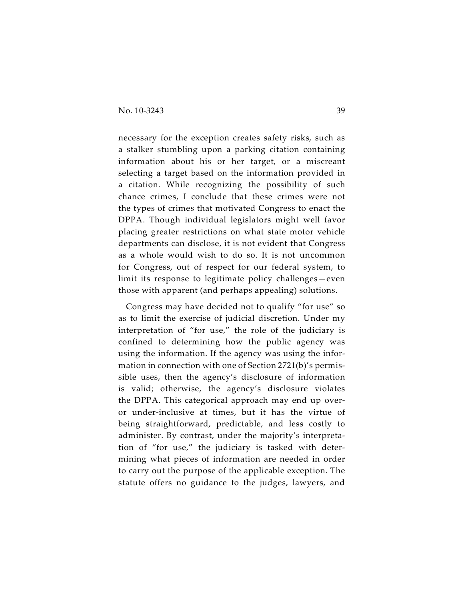necessary for the exception creates safety risks, such as a stalker stumbling upon a parking citation containing information about his or her target, or a miscreant selecting a target based on the information provided in a citation. While recognizing the possibility of such chance crimes, I conclude that these crimes were not the types of crimes that motivated Congress to enact the DPPA. Though individual legislators might well favor placing greater restrictions on what state motor vehicle departments can disclose, it is not evident that Congress as a whole would wish to do so. It is not uncommon for Congress, out of respect for our federal system, to limit its response to legitimate policy challenges—even those with apparent (and perhaps appealing) solutions.

Congress may have decided not to qualify "for use" so as to limit the exercise of judicial discretion. Under my interpretation of "for use," the role of the judiciary is confined to determining how the public agency was using the information. If the agency was using the information in connection with one of Section 2721(b)'s permissible uses, then the agency's disclosure of information is valid; otherwise, the agency's disclosure violates the DPPA. This categorical approach may end up overor under-inclusive at times, but it has the virtue of being straightforward, predictable, and less costly to administer. By contrast, under the majority's interpretation of "for use," the judiciary is tasked with determining what pieces of information are needed in order to carry out the purpose of the applicable exception. The statute offers no guidance to the judges, lawyers, and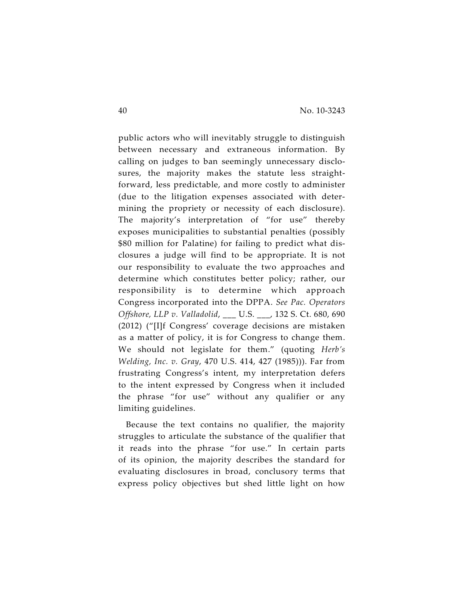public actors who will inevitably struggle to distinguish between necessary and extraneous information. By calling on judges to ban seemingly unnecessary disclosures, the majority makes the statute less straightforward, less predictable, and more costly to administer (due to the litigation expenses associated with determining the propriety or necessity of each disclosure). The majority's interpretation of "for use" thereby exposes municipalities to substantial penalties (possibly \$80 million for Palatine) for failing to predict what disclosures a judge will find to be appropriate. It is not our responsibility to evaluate the two approaches and determine which constitutes better policy; rather, our responsibility is to determine which approach Congress incorporated into the DPPA. *See Pac. Operators Offshore, LLP v. Valladolid*, \_\_\_ U.S. \_\_\_, 132 S. Ct. 680, 690 (2012) ("[I]f Congress' coverage decisions are mistaken as a matter of policy, it is for Congress to change them. We should not legislate for them." (quoting *Herb's Welding, Inc. v. Gray*, 470 U.S. 414, 427 (1985))). Far from frustrating Congress's intent, my interpretation defers to the intent expressed by Congress when it included the phrase "for use" without any qualifier or any limiting guidelines.

Because the text contains no qualifier, the majority struggles to articulate the substance of the qualifier that it reads into the phrase "for use." In certain parts of its opinion, the majority describes the standard for evaluating disclosures in broad, conclusory terms that express policy objectives but shed little light on how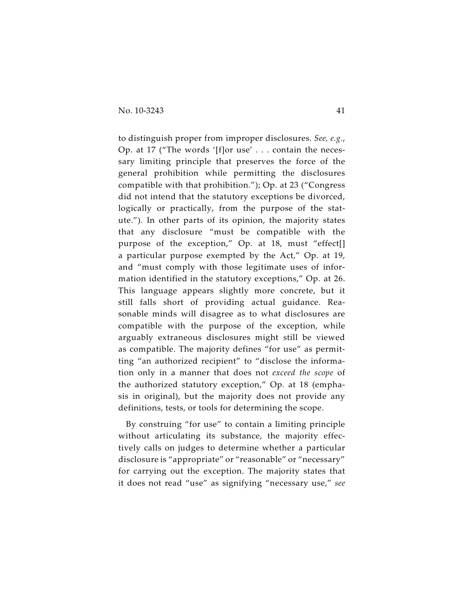to distinguish proper from improper disclosures. *See, e.g.*, Op. at 17 ("The words '[f]or use' . . . contain the necessary limiting principle that preserves the force of the general prohibition while permitting the disclosures compatible with that prohibition."); Op. at 23 ("Congress did not intend that the statutory exceptions be divorced, logically or practically, from the purpose of the statute."). In other parts of its opinion, the majority states that any disclosure "must be compatible with the purpose of the exception," Op. at 18, must "effect[] a particular purpose exempted by the Act," Op. at 19, and "must comply with those legitimate uses of information identified in the statutory exceptions," Op. at 26. This language appears slightly more concrete, but it still falls short of providing actual guidance. Reasonable minds will disagree as to what disclosures are compatible with the purpose of the exception, while arguably extraneous disclosures might still be viewed as compatible. The majority defines "for use" as permitting "an authorized recipient" to "disclose the information only in a manner that does not *exceed the scope* of the authorized statutory exception," Op. at 18 (emphasis in original), but the majority does not provide any definitions, tests, or tools for determining the scope.

By construing "for use" to contain a limiting principle without articulating its substance, the majority effectively calls on judges to determine whether a particular disclosure is "appropriate" or "reasonable" or "necessary" for carrying out the exception. The majority states that it does not read "use" as signifying "necessary use," *see*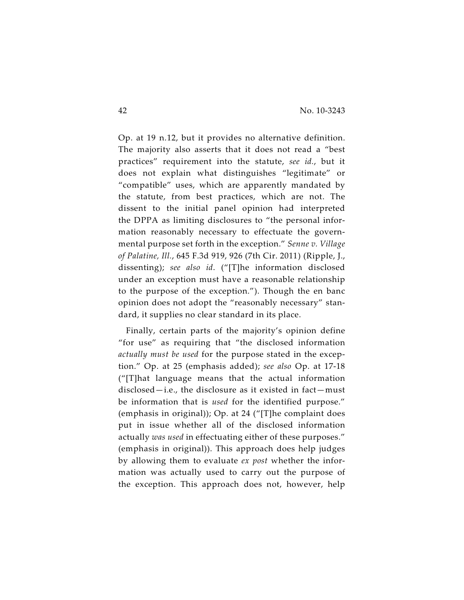Op. at 19 n.12, but it provides no alternative definition. The majority also asserts that it does not read a "best practices" requirement into the statute, *see id.*, but it does not explain what distinguishes "legitimate" or "compatible" uses, which are apparently mandated by the statute, from best practices, which are not. The dissent to the initial panel opinion had interpreted the DPPA as limiting disclosures to "the personal information reasonably necessary to effectuate the governmental purpose set forth in the exception." *Senne v. Village of Palatine, Ill.*, 645 F.3d 919, 926 (7th Cir. 2011) (Ripple, J., dissenting); *see also id*. ("[T]he information disclosed under an exception must have a reasonable relationship to the purpose of the exception."). Though the en banc opinion does not adopt the "reasonably necessary" standard, it supplies no clear standard in its place.

Finally, certain parts of the majority's opinion define "for use" as requiring that "the disclosed information *actually must be used* for the purpose stated in the exception." Op. at 25 (emphasis added); *see also* Op. at 17-18 ("[T]hat language means that the actual information disclosed—i.e., the disclosure as it existed in fact—must be information that is *used* for the identified purpose." (emphasis in original)); Op. at 24 ("[T]he complaint does put in issue whether all of the disclosed information actually *was used* in effectuating either of these purposes." (emphasis in original)). This approach does help judges by allowing them to evaluate *ex post* whether the information was actually used to carry out the purpose of the exception. This approach does not, however, help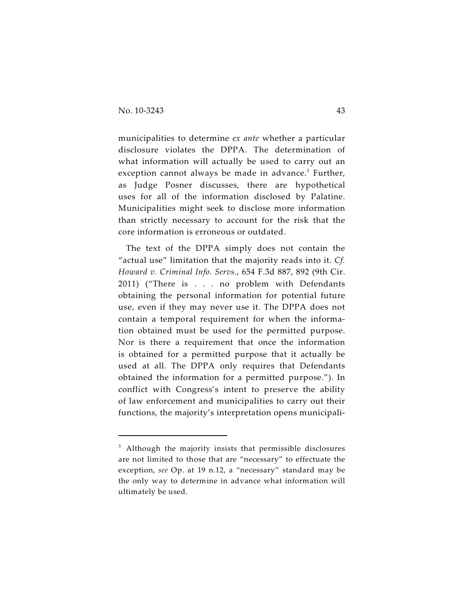municipalities to determine *ex ante* whether a particular disclosure violates the DPPA. The determination of what information will actually be used to carry out an exception cannot always be made in advance. $3$  Further, as Judge Posner discusses, there are hypothetical uses for all of the information disclosed by Palatine. Municipalities might seek to disclose more information than strictly necessary to account for the risk that the core information is erroneous or outdated.

The text of the DPPA simply does not contain the "actual use" limitation that the majority reads into it. *Cf. Howard v. Criminal Info. Servs*., 654 F.3d 887, 892 (9th Cir. 2011) ("There is . . . no problem with Defendants obtaining the personal information for potential future use, even if they may never use it. The DPPA does not contain a temporal requirement for when the information obtained must be used for the permitted purpose. Nor is there a requirement that once the information is obtained for a permitted purpose that it actually be used at all. The DPPA only requires that Defendants obtained the information for a permitted purpose."). In conflict with Congress's intent to preserve the ability of law enforcement and municipalities to carry out their functions, the majority's interpretation opens municipali-

 $3$  Although the majority insists that permissible disclosures are not limited to those that are "necessary" to effectuate the exception, *see* Op. at 19 n.12, a "necessary" standard may be the only way to determine in advance what information will ultimately be used.